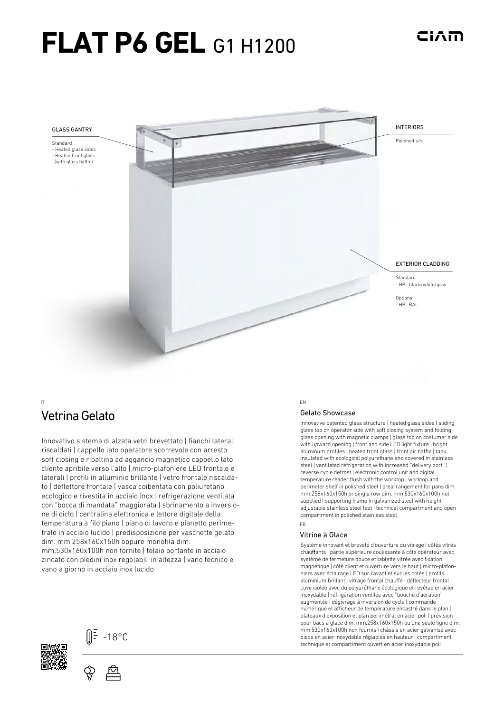# **FLAT P6 GEL G1 H1200**



# **Vetrina Gelato** Showcase Vetrina Gelato Showcase

Innovativo sistema di alzata vetri brevettato | fianchi laterali riscaldati | cappello lato operatore scorrevole con arresto soft closing e ribaltina ad aggancio magnetico cappello lato cliente apribile verso l'alto | micro-plafoniere LED frontale e laterali | profili in alluminio brillante | vetro frontale riscaldato | deflettore frontale | vasca coibentata con poliuretano ecologico e rivestita in acciaio inox | refrigerazione ventilata con "bocca di mandata" maggiorata | sbrinamento a inversione di ciclo | centralina elettronica e lettore digitale della temperatura a filo piano | piano di lavoro e pianetto perimetrale in acciaio lucido | predisposizione per vaschette gelato dim. mm.258x160x150h oppure monofila dim. mm.530x160x100h non fornite | telaio portante in acciaio zincato con piedini inox regolabili in altezza | vano tecnico e vano a giorno in acciaio inox lucido

#### IT EN

Innovative patented glass structure | heated glass sides | sliding glass top on operator side with soft closing system and folding glass opening with magnetic clamps | glass top on costumer side with upward opening | front and side LED light fixture | bright aluminum profiles | heated front glass | front air baffle | tank insulated with ecological polyurethane and covered in stainless steel | ventilated refrigeration with increased ''delivery port'' | reverse cycle defrost | electronic control unit and digital temperature reader flush with the worktop | worktop and perimeter shelf in polished steel | prearrangement for pans dim. mm.258x160x150h or single row dim. mm.530x160x100h not supplied | supporting frame in galvanized steel with height adjustable stainless steel feet | technical compartment and open compartment in polished stainless steel

ciam

#### FR

#### Vitrine à Glace

Système innovant et breveté d'ouverture du vitrage | côtés vitrés chauffants | partie supérieure coulissante à côté opérateur avec système de fermeture douce et tablette vitrée avec fixation magnétique | côté client et ouverture vers le haut | micro-plafonniers avec éclairage LED sur l'avant et sur les cotés | profils aluminium brillant | vitrage frontal chauffé | déflecteur frontal | cuve isolée avec du polyuréthane écologique et revêtue en acier inoxydable | réfrigération ventilée avec ''bouche d'aération'' augmentée | dégivrage à inversion de cycle | commande numérique et afficheur de température encastré dans le plan | plateaux d'exposition et plan périmétral en acier poli | prévision pour bacs à glace dim. mm.258x160x150h ou une seule ligne dim. mm.530x160x100h non fournis | châssis en acier galvanisé avec pieds en acier inoxydable réglables en hauteur | compartiment technique et compartiment ouvert en acier inoxydable poli



(∭<sup>Ξ</sup> -18°C